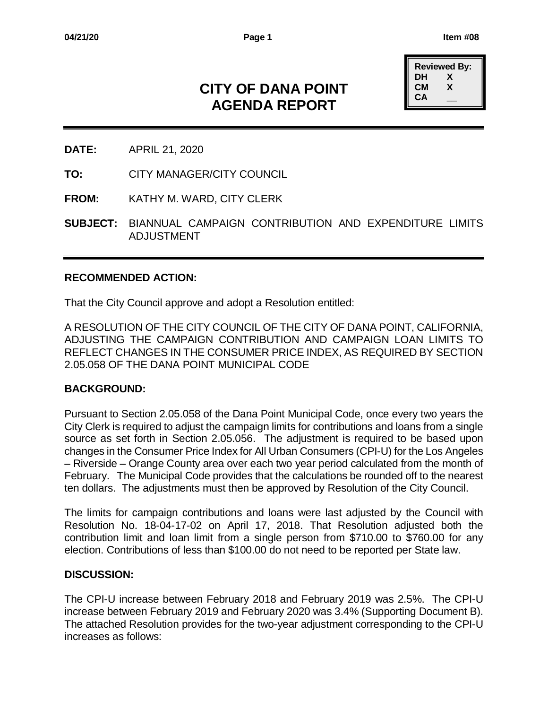# **CITY OF DANA POINT AGENDA REPORT**

| <b>Reviewed By:</b> |   |  |  |  |  |  |  |  |  |
|---------------------|---|--|--|--|--|--|--|--|--|
| DН                  | X |  |  |  |  |  |  |  |  |
| CМ                  | x |  |  |  |  |  |  |  |  |
| CА                  |   |  |  |  |  |  |  |  |  |

- **DATE:** APRIL 21, 2020
- **TO:** CITY MANAGER/CITY COUNCIL
- **FROM:** KATHY M. WARD, CITY CLERK
- **SUBJECT:** BIANNUAL CAMPAIGN CONTRIBUTION AND EXPENDITURE LIMITS ADJUSTMENT

### **RECOMMENDED ACTION:**

That the City Council approve and adopt a Resolution entitled:

A RESOLUTION OF THE CITY COUNCIL OF THE CITY OF DANA POINT, CALIFORNIA, ADJUSTING THE CAMPAIGN CONTRIBUTION AND CAMPAIGN LOAN LIMITS TO REFLECT CHANGES IN THE CONSUMER PRICE INDEX, AS REQUIRED BY SECTION 2.05.058 OF THE DANA POINT MUNICIPAL CODE

## **BACKGROUND:**

Pursuant to Section 2.05.058 of the Dana Point Municipal Code, once every two years the City Clerk is required to adjust the campaign limits for contributions and loans from a single source as set forth in Section 2.05.056. The adjustment is required to be based upon changes in the Consumer Price Index for All Urban Consumers (CPI-U) for the Los Angeles – Riverside – Orange County area over each two year period calculated from the month of February. The Municipal Code provides that the calculations be rounded off to the nearest ten dollars. The adjustments must then be approved by Resolution of the City Council.

The limits for campaign contributions and loans were last adjusted by the Council with Resolution No. 18-04-17-02 on April 17, 2018. That Resolution adjusted both the contribution limit and loan limit from a single person from \$710.00 to \$760.00 for any election. Contributions of less than \$100.00 do not need to be reported per State law.

### **DISCUSSION:**

The CPI-U increase between February 2018 and February 2019 was 2.5%. The CPI-U increase between February 2019 and February 2020 was 3.4% (Supporting Document B). The attached Resolution provides for the two-year adjustment corresponding to the CPI-U increases as follows: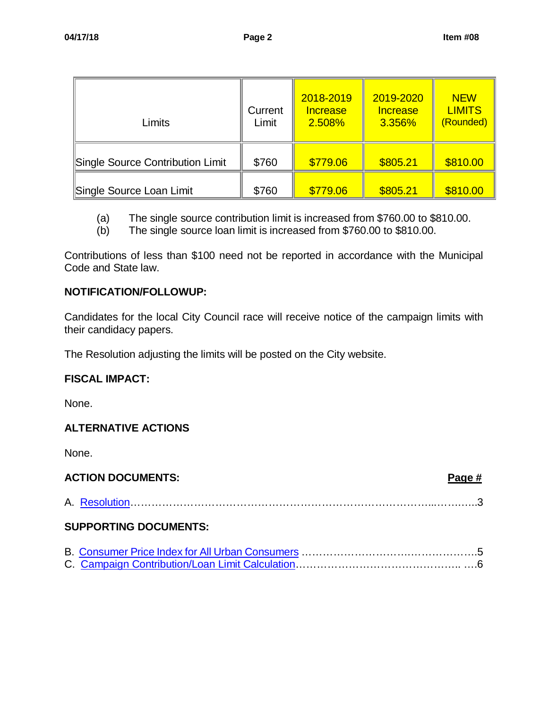| Limits                           | Current<br>Limit | 2018-2019<br><b>Increase</b><br>2.508% | 2019-2020<br><b>Increase</b><br>3.356% | <b>NEW</b><br><b>LIMITS</b><br>(Rounded) |
|----------------------------------|------------------|----------------------------------------|----------------------------------------|------------------------------------------|
| Single Source Contribution Limit | \$760            | \$779.06                               | \$805.21                               | \$810.00                                 |
| Single Source Loan Limit         | \$760            | \$779.06                               | \$805.21                               | \$810.00                                 |

- (a) The single source contribution limit is increased from \$760.00 to \$810.00.
- (b) The single source loan limit is increased from \$760.00 to \$810.00.

Contributions of less than \$100 need not be reported in accordance with the Municipal Code and State law.

## **NOTIFICATION/FOLLOWUP:**

Candidates for the local City Council race will receive notice of the campaign limits with their candidacy papers.

The Resolution adjusting the limits will be posted on the City website.

## **FISCAL IMPACT:**

None.

## **ALTERNATIVE ACTIONS**

None.

| <b>ACTION DOCUMENTS:</b>     | Page # |
|------------------------------|--------|
|                              |        |
| <b>SUPPORTING DOCUMENTS:</b> |        |
|                              |        |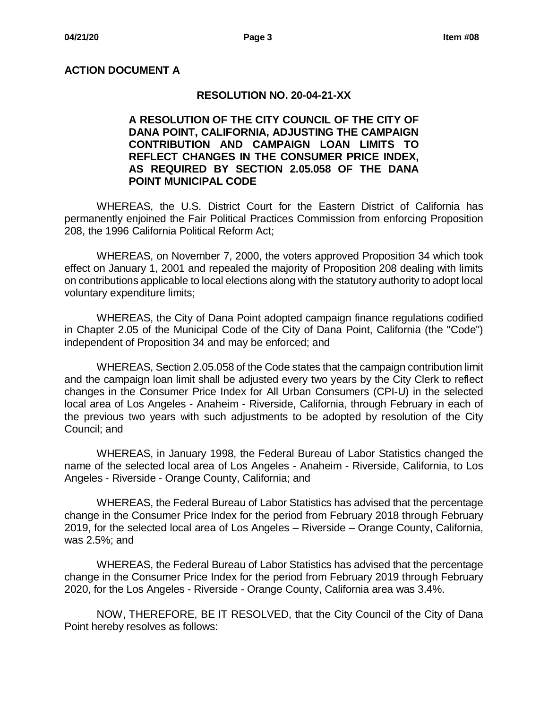## <span id="page-2-0"></span>**ACTION DOCUMENT A**

### **RESOLUTION NO. 20-04-21-XX**

**A RESOLUTION OF THE CITY COUNCIL OF THE CITY OF DANA POINT, CALIFORNIA, ADJUSTING THE CAMPAIGN CONTRIBUTION AND CAMPAIGN LOAN LIMITS TO REFLECT CHANGES IN THE CONSUMER PRICE INDEX, AS REQUIRED BY SECTION 2.05.058 OF THE DANA POINT MUNICIPAL CODE**

WHEREAS, the U.S. District Court for the Eastern District of California has permanently enjoined the Fair Political Practices Commission from enforcing Proposition 208, the 1996 California Political Reform Act;

WHEREAS, on November 7, 2000, the voters approved Proposition 34 which took effect on January 1, 2001 and repealed the majority of Proposition 208 dealing with limits on contributions applicable to local elections along with the statutory authority to adopt local voluntary expenditure limits;

WHEREAS, the City of Dana Point adopted campaign finance regulations codified in Chapter 2.05 of the Municipal Code of the City of Dana Point, California (the "Code") independent of Proposition 34 and may be enforced; and

WHEREAS, Section 2.05.058 of the Code states that the campaign contribution limit and the campaign loan limit shall be adjusted every two years by the City Clerk to reflect changes in the Consumer Price Index for All Urban Consumers (CPI-U) in the selected local area of Los Angeles - Anaheim - Riverside, California, through February in each of the previous two years with such adjustments to be adopted by resolution of the City Council; and

WHEREAS, in January 1998, the Federal Bureau of Labor Statistics changed the name of the selected local area of Los Angeles - Anaheim - Riverside, California, to Los Angeles - Riverside - Orange County, California; and

WHEREAS, the Federal Bureau of Labor Statistics has advised that the percentage change in the Consumer Price Index for the period from February 2018 through February 2019, for the selected local area of Los Angeles – Riverside – Orange County, California, was 2.5%; and

WHEREAS, the Federal Bureau of Labor Statistics has advised that the percentage change in the Consumer Price Index for the period from February 2019 through February 2020, for the Los Angeles - Riverside - Orange County, California area was 3.4%.

NOW, THEREFORE, BE IT RESOLVED, that the City Council of the City of Dana Point hereby resolves as follows: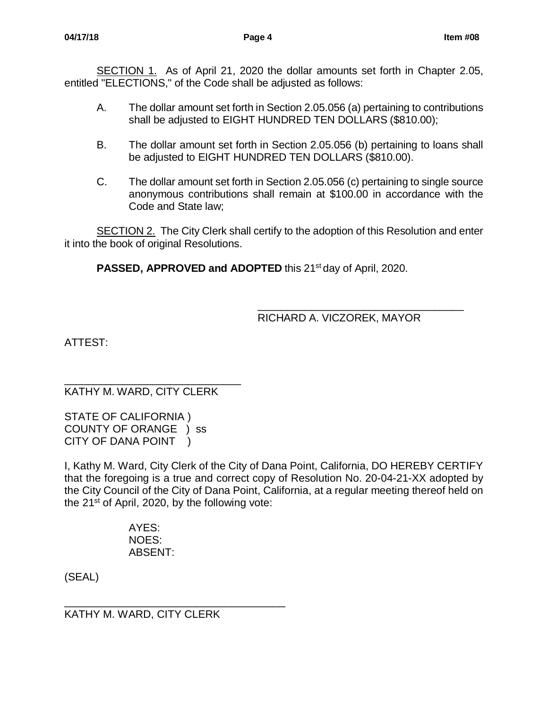SECTION 1. As of April 21, 2020 the dollar amounts set forth in Chapter 2.05, entitled "ELECTIONS," of the Code shall be adjusted as follows:

- A. The dollar amount set forth in Section 2.05.056 (a) pertaining to contributions shall be adjusted to EIGHT HUNDRED TEN DOLLARS (\$810.00);
- B. The dollar amount set forth in Section 2.05.056 (b) pertaining to loans shall be adjusted to EIGHT HUNDRED TEN DOLLARS (\$810.00).
- C. The dollar amount set forth in Section 2.05.056 (c) pertaining to single source anonymous contributions shall remain at \$100.00 in accordance with the Code and State law;

**SECTION 2.** The City Clerk shall certify to the adoption of this Resolution and enter it into the book of original Resolutions.

**PASSED, APPROVED and ADOPTED** this 21<sup>st</sup> day of April, 2020.

\_\_\_\_\_\_\_\_\_\_\_\_\_\_\_\_\_\_\_\_\_\_\_\_\_\_\_\_\_\_\_\_\_\_\_ RICHARD A. VICZOREK, MAYOR

ATTEST:

\_\_\_\_\_\_\_\_\_\_\_\_\_\_\_\_\_\_\_\_\_\_\_\_\_\_\_\_\_\_ KATHY M. WARD, CITY CLERK

STATE OF CALIFORNIA ) COUNTY OF ORANGE ) ss CITY OF DANA POINT )

I, Kathy M. Ward, City Clerk of the City of Dana Point, California, DO HEREBY CERTIFY that the foregoing is a true and correct copy of Resolution No. 20-04-21-XX adopted by the City Council of the City of Dana Point, California, at a regular meeting thereof held on the 21<sup>st</sup> of April, 2020, by the following vote:

> AYES: NOES: ABSENT:

(SEAL)

\_\_\_\_\_\_\_\_\_\_\_\_\_\_\_\_\_\_\_\_\_\_\_\_\_\_\_\_\_\_\_\_\_\_\_\_\_ KATHY M. WARD, CITY CLERK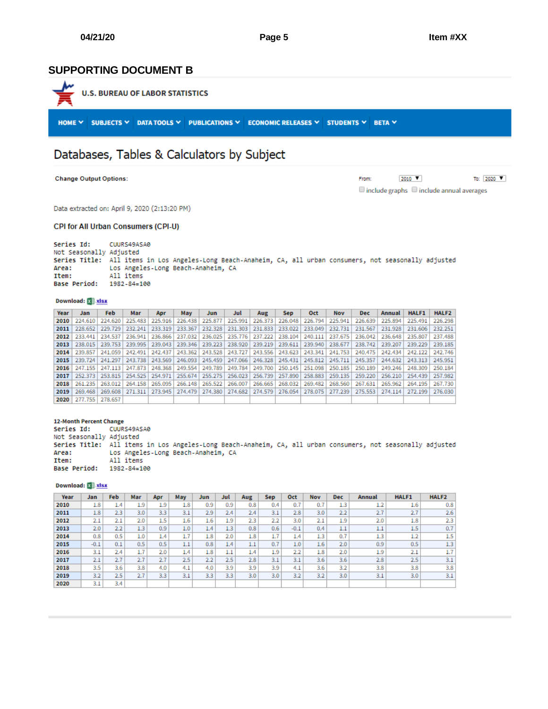### <span id="page-4-0"></span>**SUPPORTING DOCUMENT B**



## Databases, Tables & Calculators by Subject

**Change Output Options:** 

2010  $\blacktriangledown$ To: 2020 ▼ From:  $\Box$  include graphs  $\Box$  include annual averages

Data extracted on: April 9, 2020 (2:13:20 PM)

#### CPI for All Urban Consumers (CPI-U)

Series Id: CUURS49ASA0 Not Seasonally Adjusted Series Title: All items in Los Angeles-Long Beach-Anaheim, CA, all urban consumers, not seasonally adjusted Area: Los Angeles-Long Beach-Anaheim, CA Item: All items Base Period: 1982-84=100

#### Download: X XISX

| Year | Jan             | <b>Feb</b> | Mar     | Apr               | May                           | Jun     | Jul     | Aug                                                                             | Sep.    | <b>Oct</b> | <b>Nov</b>                  | Dec.    | Annual            | <b>HALF1</b>    | HALF <sub>2</sub> |
|------|-----------------|------------|---------|-------------------|-------------------------------|---------|---------|---------------------------------------------------------------------------------|---------|------------|-----------------------------|---------|-------------------|-----------------|-------------------|
| 2010 | 224,610         | 224,620    | 225.483 | 225.916           | 226.438                       | 225,877 | 225.991 | 226.373                                                                         | 226,048 | 226.794    | 225.941                     | 226.639 | 225.894           | 225.491         | 226.298           |
| 2011 | 228.652         | 229,729    | 232.241 | 233.319           | 233.367                       | 232.328 | 231.303 | 231.833 233.022                                                                 |         |            | 233.049 232.731             | 231.567 | 231.928           | 231.606         | 232.251           |
| 2012 | 233,441         | 234.537    |         |                   | 236.941   236.866   237.032   | 236.025 |         | 235.776   237.222   238.104   240.111   237.675                                 |         |            |                             | 236.042 | 236,648           | 235,807         | 237,488           |
| 2013 | 238.015         | 239,753    |         | 239.995 239.043   |                               |         |         | 239.346   239.223   238.920   239.219   239.611   239.940   238.677             |         |            |                             | 238.742 | 239,207           | 239.229         | 239.185           |
| 2014 | 239.857         | 241.059    | 242.491 |                   | $242.437$   243.362   243.528 |         |         | 243.727   243.556   243.623   243.341   241.753                                 |         |            |                             |         | 240.475   242.434 | 242.122         | 242.746           |
| 2015 | 239.724         | 241.297    | 243.738 |                   | $243.569$   246.093           |         |         | 245.459 247.066 246.328 245.431 245.812 245.711                                 |         |            |                             | 245.357 | 244.632           |                 | 243.313 245.951   |
| 2016 | 247.155         | 247.113    |         |                   |                               |         |         | 247.873 248.368 249.554 249.789 249.784 249.700 250.145 251.098 250.185         |         |            |                             | 250.189 | 249,246           | 248.309         | 250.184           |
| 2017 | 252.373         | 253.815    |         | 254.525   254.971 | 255,674                       | 255,275 |         | 256.023 256.739                                                                 |         |            | 257.890   258.883   259.135 | 259,220 | 256,210           | 254.439         | 257.982           |
| 2018 | 261.235         | 263.012    |         | 264.158 265.095   | $266.148$   265.522           |         |         | 266.007   266.665   268.032                                                     |         |            | 269.482   268.560           | 267.631 | 265,962           | 264.195         | 267.730           |
| 2019 | 269.468         |            |         |                   |                               |         |         | 269.608 271.311 273.945 274.479 274.380 274.682 274.579 276.054 278.075 277.239 |         |            |                             |         | 275.553 274.114   | 272.199 276.030 |                   |
| 2020 | 277,755 278,657 |            |         |                   |                               |         |         |                                                                                 |         |            |                             |         |                   |                 |                   |

#### 12-Month Percent Change

CUURS49ASA0 Series Id: Not Seasonally Adjusted Series Title: All items in Los Angeles-Long Beach-Anaheim, CA, all urban consumers, not seasonally adjusted Los Angeles-Long Beach-Anaheim, CA Area: Item: All items Base Period: 1982-84=100

#### Download: E. xisx

| Year | Jan    | <b>Feb</b> | Mar | Apr | May | Jun  | Jul | Aug | Sep | Oct    | Nov | <b>Dec</b> | Annual | <b>HALF1</b> | <b>HALF2</b> |
|------|--------|------------|-----|-----|-----|------|-----|-----|-----|--------|-----|------------|--------|--------------|--------------|
| 2010 | 1.8    | 1.4        | 1.9 | 1.9 | 1.8 | 0.9  | 0.9 | 0.8 | 0.4 | 0.7    | 0.7 | 1.3        | 1.2    | 1.6          | 0.8          |
| 2011 | 1.8    | 2.3        | 3.0 | 3.3 | 3.1 | 2.9  | 2.4 | 2.4 | 3.1 | 2.8    | 3.0 | 2.2        | 2.7    | 2.7          | 2.6          |
| 2012 | 2.1    | 2.1        | 2.0 | 1.5 | 1.6 | 1.6  | 1.9 | 2.3 | 2.2 | 3.0    | 2.1 | 1.9        | 2.0    | 1.8          | 2.3          |
| 2013 | 2.0    | 2.2        | 1.3 | 0.9 | 1.0 | 4.4' | 1.3 | 0.8 | 0.6 | $-0.1$ | 0.4 | 1.1        | 1.1    | 1.5          | 0.7          |
| 2014 | 0.8    | 0.5        | 1.0 | 1.4 | 1.7 | 1.8  | 2.0 | 1.8 | 1.7 | 1.4    | 1.3 | 0.7        | 1.3    | 1.2          | 1.5          |
| 2015 | $-0.1$ | 0.1        | 0.5 | 0.5 | 1.1 | 0.8  | 1.4 | 1.1 | 0.7 | 1.0    | 1.6 | 2.0        | 0.9    | 0.5          | 1.3          |
| 2016 | 3.1    | 2.4        | 1.7 | 2.0 | 1.4 | 1.8  | 1.1 | 1.4 | 1.9 | 2.2    | 1.8 | 2.0        | 1.9    | 2.1          | 1.7          |
| 2017 | 2.1    | 2.7        | 2.7 | 2.7 | 2.5 | 2.2  | 2.5 | 2.8 | 3.1 | 3.1    | 3.6 | 3.6        | 2.8    | 2.5          | 3.1          |
| 2018 | 3.5    | 3.6        | 3.8 | 4.0 | 4.1 | 4.0  | 3.9 | 3.9 | 3.9 | 4.1    | 3.6 | 3.2        | 3.8    | 3.8          | 3.8          |
| 2019 | 3.2    | 2.5        | 2.7 | 3.3 | 3.1 | 3.3  | 3.3 | 3.0 | 3.0 | 3.2    | 3.2 | 3.0        | 3.1    | 3.0          | 3.1          |
| 2020 | 3.1    | 3.4        |     |     |     |      |     |     |     |        |     |            |        |              |              |